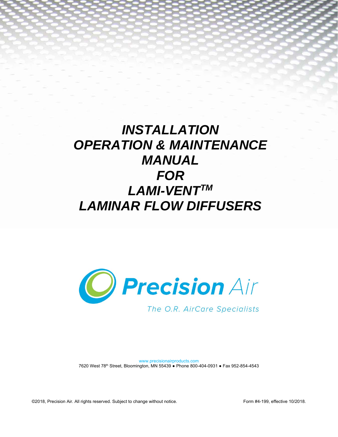# *INSTALLATION OPERATION & MAINTENANCE MANUAL FOR LAMI-VENTTM LAMINAR FLOW DIFFUSERS*



www.precisionairproducts.com 7620 West 78th Street, Bloomington, MN 55439 ● Phone 800-404-0931 ● Fax 952-854-4543

©2018, Precision Air. All rights reserved. Subject to change without notice. Form #4-199, effective 10/2018.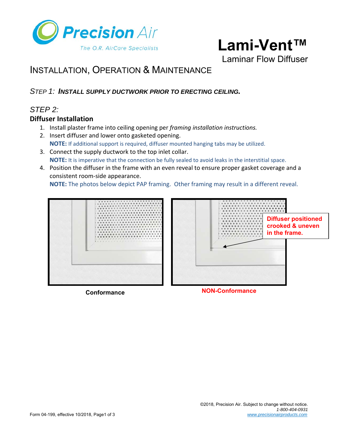

Laminar Flow Diffuser

# INSTALLATION, OPERATION & MAINTENANCE

# *STEP 1: INSTALL SUPPLY DUCTWORK PRIOR TO ERECTING CEILING.*

# *STEP 2:*

#### **Diffuser Installation**

- 1. Install plaster frame into ceiling opening per *framing installation instructions.*
- 2. Insert diffuser and lower onto gasketed opening. **NOTE:** If additional support is required, diffuser mounted hanging tabs may be utilized.
- 3. Connect the supply ductwork to the top inlet collar. **NOTE:** It is imperative that the connection be fully sealed to avoid leaks in the interstitial space.
- 4. Position the diffuser in the frame with an even reveal to ensure proper gasket coverage and a consistent room-side appearance.

**NOTE:** The photos below depict PAP framing. Other framing may result in a different reveal.



**Conformance NON-Conformance**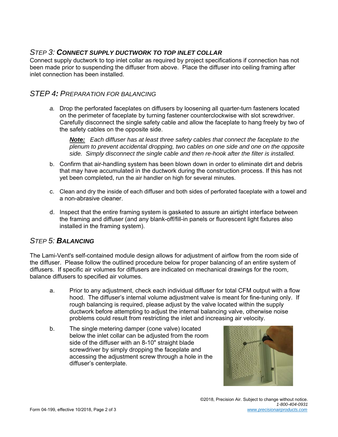# *STEP 3: CONNECT SUPPLY DUCTWORK TO TOP INLET COLLAR*

Connect supply ductwork to top inlet collar as required by project specifications if connection has not been made prior to suspending the diffuser from above. Place the diffuser into ceiling framing after inlet connection has been installed.

# *STEP 4: PREPARATION FOR BALANCING*

*a.* Drop the perforated faceplates on diffusers by loosening all quarter-turn fasteners located on the perimeter of faceplate by turning fastener counterclockwise with slot screwdriver. Carefully disconnect the single safety cable and allow the faceplate to hang freely by two of the safety cables on the opposite side.

*Note: Each diffuser has at least three safety cables that connect the faceplate to the plenum to prevent accidental dropping, two cables on one side and one on the opposite side. Simply disconnect the single cable and then re-hook after the filter is installed.* 

- b. Confirm that air-handling system has been blown down in order to eliminate dirt and debris that may have accumulated in the ductwork during the construction process. If this has not yet been completed, run the air handler on high for several minutes.
- c. Clean and dry the inside of each diffuser and both sides of perforated faceplate with a towel and a non-abrasive cleaner.
- d. Inspect that the entire framing system is gasketed to assure an airtight interface between the framing and diffuser (and any blank-off/fill-in panels or fluorescent light fixtures also installed in the framing system).

### *STEP 5: BALANCING*

The Lami-Vent's self-contained module design allows for adjustment of airflow from the room side of the diffuser. Please follow the outlined procedure below for proper balancing of an entire system of diffusers. If specific air volumes for diffusers are indicated on mechanical drawings for the room, balance diffusers to specified air volumes.

- a. Prior to any adjustment, check each individual diffuser for total CFM output with a flow hood. The diffuser's internal volume adjustment valve is meant for fine-tuning only. If rough balancing is required, please adjust by the valve located within the supply ductwork before attempting to adjust the internal balancing valve, otherwise noise problems could result from restricting the inlet and increasing air velocity.
- b. The single metering damper (cone valve) located below the inlet collar can be adjusted from the room side of the diffuser with an 8-10" straight blade screwdriver by simply dropping the faceplate and accessing the adjustment screw through a hole in the diffuser's centerplate.